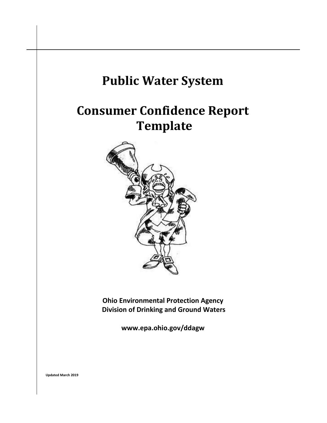

**Updated March 2019**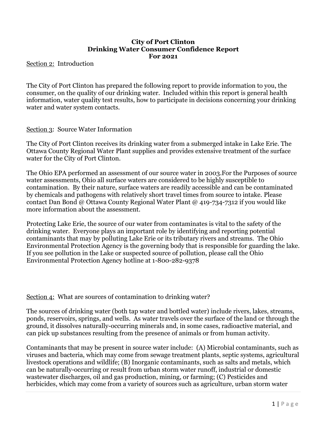#### **City of Port Clinton Drinking Water Consumer Confidence Report For 2021**

Section 2: Introduction

The City of Port Clinton has prepared the following report to provide information to you, the consumer, on the quality of our drinking water. Included within this report is general health information, water quality test results, how to participate in decisions concerning your drinking water and water system contacts.

#### Section 3: Source Water Information

The City of Port Clinton receives its drinking water from a submerged intake in Lake Erie. The Ottawa County Regional Water Plant supplies and provides extensive treatment of the surface water for the City of Port Clinton.

The Ohio EPA performed an assessment of our source water in 2003.For the Purposes of source water assessments, Ohio all surface waters are considered to be highly susceptible to contamination. By their nature, surface waters are readily accessible and can be contaminated by chemicals and pathogens with relatively short travel times from source to intake. Please contact Dan Bond @ Ottawa County Regional Water Plant @ 419-734-7312 if you would like more information about the assessment.

Protecting Lake Erie, the source of our water from contaminates is vital to the safety of the drinking water. Everyone plays an important role by identifying and reporting potential contaminants that may by polluting Lake Erie or its tributary rivers and streams. The Ohio Environmental Protection Agency is the governing body that is responsible for guarding the lake. If you see pollution in the Lake or suspected source of pollution, please call the Ohio Environmental Protection Agency hotline at 1-800-282-9378

#### Section 4: What are sources of contamination to drinking water?

The sources of drinking water (both tap water and bottled water) include rivers, lakes, streams, ponds, reservoirs, springs, and wells. As water travels over the surface of the land or through the ground, it dissolves naturally-occurring minerals and, in some cases, radioactive material, and can pick up substances resulting from the presence of animals or from human activity.

Contaminants that may be present in source water include: (A) Microbial contaminants, such as viruses and bacteria, which may come from sewage treatment plants, septic systems, agricultural livestock operations and wildlife; (B) Inorganic contaminants, such as salts and metals, which can be naturally-occurring or result from urban storm water runoff, industrial or domestic wastewater discharges, oil and gas production, mining, or farming; (C) Pesticides and herbicides, which may come from a variety of sources such as agriculture, urban storm water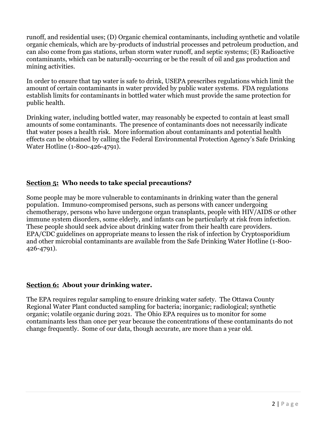runoff, and residential uses; (D) Organic chemical contaminants, including synthetic and volatile organic chemicals, which are by-products of industrial processes and petroleum production, and can also come from gas stations, urban storm water runoff, and septic systems; (E) Radioactive contaminants, which can be naturally-occurring or be the result of oil and gas production and mining activities.

In order to ensure that tap water is safe to drink, USEPA prescribes regulations which limit the amount of certain contaminants in water provided by public water systems. FDA regulations establish limits for contaminants in bottled water which must provide the same protection for public health.

Drinking water, including bottled water, may reasonably be expected to contain at least small amounts of some contaminants. The presence of contaminants does not necessarily indicate that water poses a health risk. More information about contaminants and potential health effects can be obtained by calling the Federal Environmental Protection Agency's Safe Drinking Water Hotline (1-800-426-4791).

# **Section 5: Who needs to take special precautions?**

Some people may be more vulnerable to contaminants in drinking water than the general population. Immuno-compromised persons, such as persons with cancer undergoing chemotherapy, persons who have undergone organ transplants, people with HIV/AIDS or other immune system disorders, some elderly, and infants can be particularly at risk from infection. These people should seek advice about drinking water from their health care providers. EPA/CDC guidelines on appropriate means to lessen the risk of infection by Cryptosporidium and other microbial contaminants are available from the Safe Drinking Water Hotline (1-800- 426-4791).

## **Section 6: About your drinking water.**

The EPA requires regular sampling to ensure drinking water safety. The Ottawa County Regional Water Plant conducted sampling for bacteria; inorganic; radiological; synthetic organic; volatile organic during 2021. The Ohio EPA requires us to monitor for some contaminants less than once per year because the concentrations of these contaminants do not change frequently. Some of our data, though accurate, are more than a year old.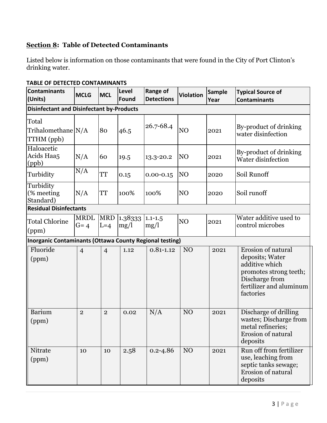# **Section 8: Table of Detected Contaminants**

Listed below is information on those contaminants that were found in the City of Port Clinton's drinking water.

| <b>I ADLL OF DETECTED CONTAININANTS</b><br><b>Contaminants</b><br>(Units) | <b>MCLG</b>            | <b>MCL</b>          | Level<br>Found  | <b>Range of</b><br><b>Detections</b> | <b>Violation</b> | <b>Sample</b><br>Year | <b>Typical Source of</b><br><b>Contaminants</b>                                                                                             |
|---------------------------------------------------------------------------|------------------------|---------------------|-----------------|--------------------------------------|------------------|-----------------------|---------------------------------------------------------------------------------------------------------------------------------------------|
| <b>Disinfectant and Disinfectant by-Products</b>                          |                        |                     |                 |                                      |                  |                       |                                                                                                                                             |
| Total<br>Trihalomethane N/A<br>TTHM (ppb)                                 |                        | 80                  | 46.5            | 26.7-68.4                            | NO               | 2021                  | By-product of drinking<br>water disinfection                                                                                                |
| Haloacetic<br>Acids Haa <sub>5</sub><br>(ppb)                             | N/A                    | 60                  | 19.5            | 13.3-20.2                            | N <sub>O</sub>   | 2021                  | By-product of drinking<br>Water disinfection                                                                                                |
| Turbidity                                                                 | N/A                    | TT                  | 0.15            | $0.00 - 0.15$                        | N <sub>O</sub>   | 2020                  | Soil Runoff                                                                                                                                 |
| Turbidity<br>(% meeting)<br>Standard)                                     | N/A                    | TT                  | 100%            | 100%                                 | N <sub>O</sub>   | 2020                  | Soil runoff                                                                                                                                 |
| <b>Residual Disinfectants</b>                                             |                        |                     |                 |                                      |                  |                       |                                                                                                                                             |
| <b>Total Chlorine</b><br>(ppm)                                            | <b>MRDL</b><br>$G = 4$ | <b>MRD</b><br>$L=4$ | 1.38333<br>mg/l | $1.1 - 1.5$<br>mg/l                  | N <sub>O</sub>   | 2021                  | Water additive used to<br>control microbes                                                                                                  |
| Inorganic Contaminants (Ottawa County Regional testing)                   |                        |                     |                 |                                      |                  |                       |                                                                                                                                             |
| Fluoride<br>(ppm)                                                         | $\overline{4}$         | $\overline{4}$      | 1.12            | $0.81 - 1.12$                        | NO               | 2021                  | Erosion of natural<br>deposits; Water<br>additive which<br>promotes strong teeth;<br>Discharge from<br>fertilizer and aluminum<br>factories |
| <b>Barium</b><br>(ppm)                                                    | $\mathbf{2}$           | $\overline{2}$      | 0.02            | N/A                                  | N <sub>O</sub>   | 2021                  | Discharge of drilling<br>wastes; Discharge from<br>metal refineries;<br>Erosion of natural<br>deposits                                      |
| Nitrate<br>(ppm)                                                          | 10                     | 10                  | 2.58            | $0.2 - 4.86$                         | NO               | 2021                  | Run off from fertilizer<br>use, leaching from<br>septic tanks sewage;<br>Erosion of natural<br>deposits                                     |

#### **TABLE OF DETECTED CONTAMINANTS**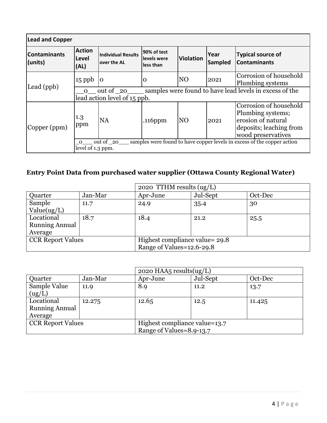| <b>Lead and Copper</b>         |                                                                                                                         |                                          |                                         |                |                        |                                                                                                                    |
|--------------------------------|-------------------------------------------------------------------------------------------------------------------------|------------------------------------------|-----------------------------------------|----------------|------------------------|--------------------------------------------------------------------------------------------------------------------|
| <b>Contaminants</b><br>(units) | <b>Action</b><br>Level<br>(AL)                                                                                          | <b>Individual Results</b><br>over the AL | 90% of test<br>levels were<br>less than | Violation      | Year<br><b>Sampled</b> | <b>Typical source of</b><br><b>Contaminants</b>                                                                    |
| Lead (ppb)                     | $15$ ppb                                                                                                                | $\mathbf{O}$                             | O                                       | N <sub>O</sub> | 2021                   | Corrosion of household<br>Plumbing systems                                                                         |
|                                | samples were found to have lead levels in excess of the<br>out of 20<br>$\Omega$<br>lead action level of 15 ppb.        |                                          |                                         |                |                        |                                                                                                                    |
| Copper (ppm)                   | 1.3<br>ppm                                                                                                              | <b>NA</b>                                | $.116$ ppm                              | <b>NO</b>      | 2021                   | Corrosion of household<br>Plumbing systems;<br>erosion of natural<br>deposits; leaching from<br>wood preservatives |
|                                | samples were found to have copper levels in excess of the copper action<br>out of _20_<br>$\Omega$<br>level of 1.3 ppm. |                                          |                                         |                |                        |                                                                                                                    |

# **Entry Point Data from purchased water supplier (Ottawa County Regional Water)**

|                          |         | 2020 TTHM results $(ug/L)$     |          |         |  |  |
|--------------------------|---------|--------------------------------|----------|---------|--|--|
| Quarter                  | Jan-Mar | Apr-June                       | Jul-Sept | Oct-Dec |  |  |
| Sample                   | 11.7    | 24.9                           | 35.4     | 30      |  |  |
| Value(ug/L)              |         |                                |          |         |  |  |
| Locational               | 18.7    | 18.4                           | 21.2     | 25.5    |  |  |
| <b>Running Annual</b>    |         |                                |          |         |  |  |
| Average                  |         |                                |          |         |  |  |
| <b>CCR Report Values</b> |         | Highest compliance value= 29.8 |          |         |  |  |
|                          |         | Range of Values=12.6-29.8      |          |         |  |  |

|                          |         | 2020 HAA5 results $(ug/L)$    |          |         |  |  |
|--------------------------|---------|-------------------------------|----------|---------|--|--|
| Quarter                  | Jan-Mar | Apr-June                      | Jul-Sept | Oct-Dec |  |  |
| Sample Value             | 11.9    | 8.9                           | 11.2     | 13.7    |  |  |
| (ug/L)                   |         |                               |          |         |  |  |
| Locational               | 12.275  | 12.65                         | 12.5     | 11.425  |  |  |
| <b>Running Annual</b>    |         |                               |          |         |  |  |
| Average                  |         |                               |          |         |  |  |
| <b>CCR Report Values</b> |         | Highest compliance value=13.7 |          |         |  |  |
|                          |         | Range of Values=8.9-13.7      |          |         |  |  |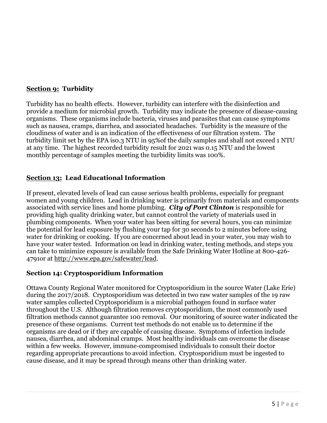# **Section 9: Turbidity**

Turbidity has no health effects. However, turbidity can interfere with the disinfection and provide a medium for microbial growth. Turbidity may indicate the presence of disease-causing organisms. These organisms include bacteria, viruses and parasites that can cause symptoms such as nausea, cramps, diarrhea, and associated headaches. Turbidity is the measure of the cloudiness of water and is an indication of the effectiveness of our filtration system. The turbidity limit set by the EPA is0.3 NTU in 95%of the daily samples and shall not exceed 1 NTU at any time. The highest recorded turbidity result for 2021 was 0.15 NTU and the lowest monthly percentage of samples meeting the turbidity limits was 100%.

## **Section 13: Lead Educational Information**

If present, elevated levels of lead can cause serious health problems, especially for pregnant women and young children. Lead in drinking water is primarily from materials and components associated with service lines and home plumbing. *City of Port Clinton* is responsible for providing high quality drinking water, but cannot control the variety of materials used in plumbing components. When your water has been sitting for several hours, you can minimize the potential for lead exposure by flushing your tap for 30 seconds to 2 minutes before using water for drinking or cooking. If you are concerned about lead in your water, you may wish to have your water tested. Information on lead in drinking water, testing methods, and steps you can take to minimize exposure is available from the Safe Drinking Water Hotline at 800-426- 4791or at [http://www.epa.gov/safewater/lead.](http://www.epa.gov/safewater/lead)

## **Section 14: Cryptosporidium Information**

Ottawa County Regional Water monitored for Cryptosporidium in the source Water (Lake Erie) during the 2017/2018. Cryptosporidium was detected in two raw water samples of the 19 raw water samples collected Cryptosporidium is a microbial pathogen found in surface water throughout the U.S. Although filtration removes cryptosporidium, the most commonly used filtration methods cannot guarantee 100 removal. Our monitoring of source water indicated the presence of these organisms. Current test methods do not enable us to determine if the organisms are dead or if they are capable of causing disease. Symptoms of infection include nausea, diarrhea, and abdominal cramps. Most healthy individuals can overcome the disease within a few weeks. However, immune-compromised individuals to consult their doctor regarding appropriate precautions to avoid infection. Cryptosporidium must be ingested to cause disease, and it may be spread through means other than drinking water.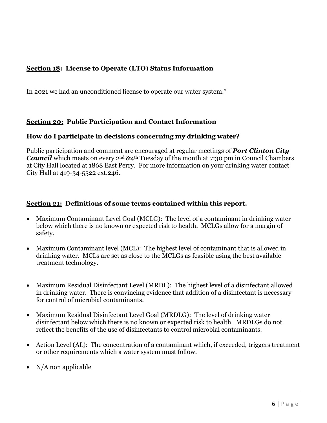# **Section 18: License to Operate (LTO) Status Information**

In 2021 we had an unconditioned license to operate our water system."

## **Section 20: Public Participation and Contact Information**

## **How do I participate in decisions concerning my drinking water?**

Public participation and comment are encouraged at regular meetings of *Port Clinton City*  **Council** which meets on every 2<sup>nd</sup> &4<sup>th</sup> Tuesday of the month at 7:30 pm in Council Chambers at City Hall located at 1868 East Perry. For more information on your drinking water contact City Hall at 419-34-5522 ext.246.

## **Section 21: Definitions of some terms contained within this report.**

- Maximum Contaminant Level Goal (MCLG): The level of a contaminant in drinking water below which there is no known or expected risk to health. MCLGs allow for a margin of safety.
- Maximum Contaminant level (MCL): The highest level of contaminant that is allowed in drinking water. MCLs are set as close to the MCLGs as feasible using the best available treatment technology.
- Maximum Residual Disinfectant Level (MRDL): The highest level of a disinfectant allowed in drinking water. There is convincing evidence that addition of a disinfectant is necessary for control of microbial contaminants.
- Maximum Residual Disinfectant Level Goal (MRDLG): The level of drinking water disinfectant below which there is no known or expected risk to health. MRDLGs do not reflect the benefits of the use of disinfectants to control microbial contaminants.
- Action Level (AL): The concentration of a contaminant which, if exceeded, triggers treatment or other requirements which a water system must follow.
- $\bullet$  N/A non applicable